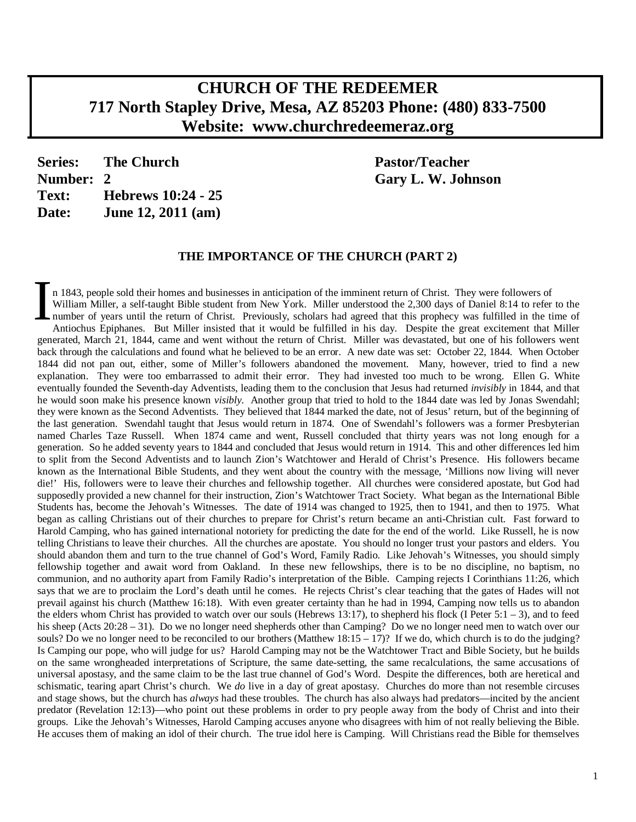# **CHURCH OF THE REDEEMER 717 North Stapley Drive, Mesa, AZ 85203 Phone: (480) 833-7500 Website: www.churchredeemeraz.org**

**Series: The Church Pastor/Teacher Number: 2 Gary L. W. Johnson Text: Hebrews 10:24 - 25 Date: June 12, 2011 (am)**

### **THE IMPORTANCE OF THE CHURCH (PART 2)**

n 1843, people sold their homes and businesses in anticipation of the imminent return of Christ. They were followers of William Miller, a self-taught Bible student from New York. Miller understood the 2,300 days of Daniel 8:14 to refer to the number of years until the return of Christ. Previously, scholars had agreed that this prophecy was fulfilled in the time of Antiochus Epiphanes. But Miller insisted that it would be fulfilled in his day. Despite the great excitement that Miller generated, March 21, 1844, came and went without the return of Christ. Miller was devastated, but one of his followers went back through the calculations and found what he believed to be an error. A new date was set: October 22, 1844. When October 1844 did not pan out, either, some of Miller's followers abandoned the movement. Many, however, tried to find a new explanation. They were too embarrassed to admit their error. They had invested too much to be wrong. Ellen G. White eventually founded the Seventh-day Adventists, leading them to the conclusion that Jesus had returned *invisibly* in 1844, and that he would soon make his presence known *visibly*. Another group that tried to hold to the 1844 date was led by Jonas Swendahl; they were known as the Second Adventists. They believed that 1844 marked the date, not of Jesus' return, but of the beginning of the last generation. Swendahl taught that Jesus would return in 1874. One of Swendahl's followers was a former Presbyterian named Charles Taze Russell. When 1874 came and went, Russell concluded that thirty years was not long enough for a generation. So he added seventy years to 1844 and concluded that Jesus would return in 1914. This and other differences led him to split from the Second Adventists and to launch Zion's Watchtower and Herald of Christ's Presence. His followers became known as the International Bible Students, and they went about the country with the message, 'Millions now living will never die!' His, followers were to leave their churches and fellowship together. All churches were considered apostate, but God had supposedly provided a new channel for their instruction, Zion's Watchtower Tract Society. What began as the International Bible Students has, become the Jehovah's Witnesses. The date of 1914 was changed to 1925, then to 1941, and then to 1975. What began as calling Christians out of their churches to prepare for Christ's return became an anti-Christian cult. Fast forward to Harold Camping, who has gained international notoriety for predicting the date for the end of the world. Like Russell, he is now telling Christians to leave their churches. All the churches are apostate. You should no longer trust your pastors and elders. You should abandon them and turn to the true channel of God's Word, Family Radio. Like Jehovah's Witnesses, you should simply fellowship together and await word from Oakland. In these new fellowships, there is to be no discipline, no baptism, no communion, and no authority apart from Family Radio's interpretation of the Bible. Camping rejects I Corinthians 11:26, which says that we are to proclaim the Lord's death until he comes. He rejects Christ's clear teaching that the gates of Hades will not prevail against his church (Matthew 16:18). With even greater certainty than he had in 1994, Camping now tells us to abandon the elders whom Christ has provided to watch over our souls (Hebrews 13:17), to shepherd his flock (I Peter 5:1 – 3), and to feed his sheep (Acts 20:28 – 31). Do we no longer need shepherds other than Camping? Do we no longer need men to watch over our souls? Do we no longer need to be reconciled to our brothers (Matthew  $18:15 - 17$ )? If we do, which church is to do the judging? Is Camping our pope, who will judge for us? Harold Camping may not be the Watchtower Tract and Bible Society, but he builds on the same wrongheaded interpretations of Scripture, the same date-setting, the same recalculations, the same accusations of universal apostasy, and the same claim to be the last true channel of God's Word. Despite the differences, both are heretical and schismatic, tearing apart Christ's church. We *do* live in a day of great apostasy. Churches do more than not resemble circuses and stage shows, but the church has *always* had these troubles. The church has also always had predators—incited by the ancient predator (Revelation 12:13)—who point out these problems in order to pry people away from the body of Christ and into their groups. Like the Jehovah's Witnesses, Harold Camping accuses anyone who disagrees with him of not really believing the Bible. He accuses them of making an idol of their church. The true idol here is Camping. Will Christians read the Bible for themselves I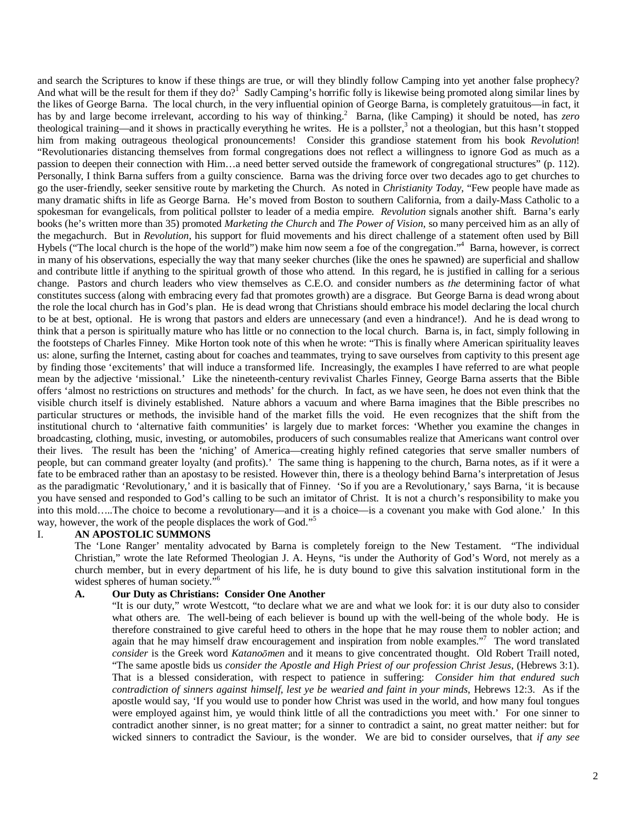and search the Scriptures to know if these things are true, or will they blindly follow Camping into yet another false prophecy? And what will be the result for them if they do?<sup>I</sup> Sadly Camping's horrific folly is likewise being promoted along similar lines by the likes of George Barna. The local church, in the very influential opinion of George Barna, is completely gratuitous—in fact, it has by and large become irrelevant, according to his way of thinking. <sup>2</sup> Barna, (like Camping) it should be noted, has *zero* theological training—and it shows in practically everything he writes. He is a pollster,<sup>3</sup> not a theologian, but this hasn't stopped him from making outrageous theological pronouncements! Consider this grandiose statement from his book *Revolution*! "Revolutionaries distancing themselves from formal congregations does not reflect a willingness to ignore God as much as a passion to deepen their connection with Him…a need better served outside the framework of congregational structures" (p. 112). Personally, I think Barna suffers from a guilty conscience. Barna was the driving force over two decades ago to get churches to go the user-friendly, seeker sensitive route by marketing the Church. As noted in *Christianity Today*, "Few people have made as many dramatic shifts in life as George Barna. He's moved from Boston to southern California, from a daily-Mass Catholic to a spokesman for evangelicals, from political pollster to leader of a media empire. *Revolution* signals another shift. Barna's early books (he's written more than 35) promoted *Marketing the Church* and *The Power of Vision*, so many perceived him as an ally of the megachurch. But in *Revolution*, his support for fluid movements and his direct challenge of a statement often used by Bill Hybels ("The local church is the hope of the world") make him now seem a foe of the congregation." <sup>4</sup> Barna, however, is correct in many of his observations, especially the way that many seeker churches (like the ones he spawned) are superficial and shallow and contribute little if anything to the spiritual growth of those who attend. In this regard, he is justified in calling for a serious change. Pastors and church leaders who view themselves as C.E.O. and consider numbers as *the* determining factor of what constitutes success (along with embracing every fad that promotes growth) are a disgrace. But George Barna is dead wrong about the role the local church has in God's plan. He is dead wrong that Christians should embrace his model declaring the local church to be at best, optional. He is wrong that pastors and elders are unnecessary (and even a hindrance!). And he is dead wrong to think that a person is spiritually mature who has little or no connection to the local church. Barna is, in fact, simply following in the footsteps of Charles Finney. Mike Horton took note of this when he wrote: "This is finally where American spirituality leaves us: alone, surfing the Internet, casting about for coaches and teammates, trying to save ourselves from captivity to this present age by finding those 'excitements' that will induce a transformed life. Increasingly, the examples I have referred to are what people mean by the adjective 'missional.' Like the nineteenth-century revivalist Charles Finney, George Barna asserts that the Bible offers 'almost no restrictions on structures and methods' for the church. In fact, as we have seen, he does not even think that the visible church itself is divinely established. Nature abhors a vacuum and where Barna imagines that the Bible prescribes no particular structures or methods, the invisible hand of the market fills the void. He even recognizes that the shift from the institutional church to 'alternative faith communities' is largely due to market forces: 'Whether you examine the changes in broadcasting, clothing, music, investing, or automobiles, producers of such consumables realize that Americans want control over their lives. The result has been the 'niching' of America—creating highly refined categories that serve smaller numbers of people, but can command greater loyalty (and profits).' The same thing is happening to the church, Barna notes, as if it were a fate to be embraced rather than an apostasy to be resisted. However thin, there is a theology behind Barna's interpretation of Jesus as the paradigmatic 'Revolutionary,' and it is basically that of Finney. 'So if you are a Revolutionary,' says Barna, 'it is because you have sensed and responded to God's calling to be such an imitator of Christ. It is not a church's responsibility to make you into this mold…..The choice to become a revolutionary—and it is a choice—is a covenant you make with God alone.' In this way, however, the work of the people displaces the work of God."<sup>5</sup>

#### I. **AN APOSTOLIC SUMMONS**

The 'Lone Ranger' mentality advocated by Barna is completely foreign to the New Testament. "The individual Christian," wrote the late Reformed Theologian J. A. Heyns, "is under the Authority of God's Word, not merely as a church member, but in every department of his life, he is duty bound to give this salvation institutional form in the widest spheres of human society."<sup>6</sup>

### **A. Our Duty as Christians: Consider One Another**

"It is our duty," wrote Westcott, "to declare what we are and what we look for: it is our duty also to consider what others are. The well-being of each believer is bound up with the well-being of the whole body. He is therefore constrained to give careful heed to others in the hope that he may rouse them to nobler action; and again that he may himself draw encouragement and inspiration from noble examples."<sup>7</sup> The word translated consider is the Greek word *Katanoomen* and it means to give concentrated thought. Old Robert Traill noted, "The same apostle bids us *consider the Apostle and High Priest of our profession Christ Jesus*, (Hebrews 3:1). That is a blessed consideration, with respect to patience in suffering: *Consider him that endured such contradiction of sinners against himself, lest ye be wearied and faint in your minds*, Hebrews 12:3. As if the apostle would say, 'If you would use to ponder how Christ was used in the world, and how many foul tongues were employed against him, ye would think little of all the contradictions you meet with.' For one sinner to contradict another sinner, is no great matter; for a sinner to contradict a saint, no great matter neither: but for wicked sinners to contradict the Saviour, is the wonder. We are bid to consider ourselves, that *if any see*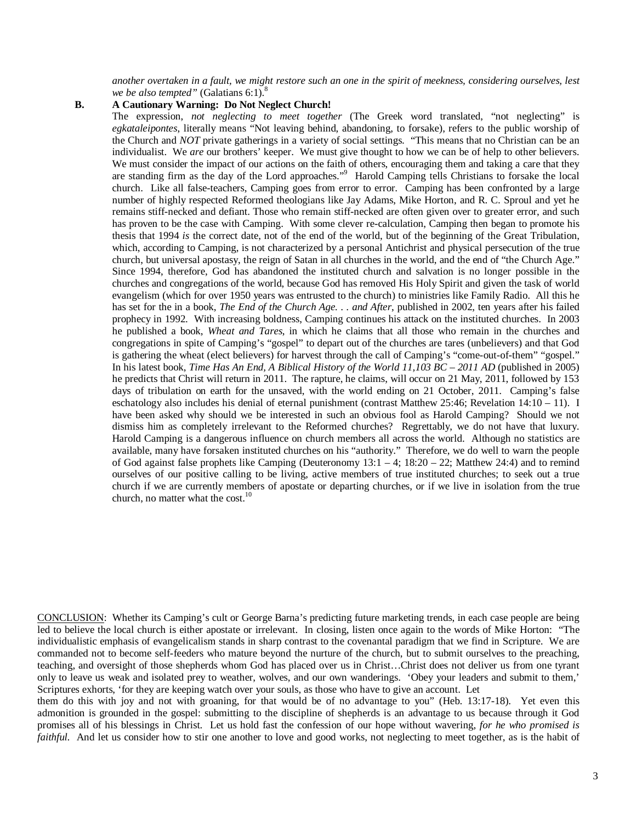another overtaken in a fault, we might restore such an one in the spirit of meekness, considering ourselves, lest *we be also tempted"* (Galatians 6:1). 8

#### **B. A Cautionary Warning: Do Not Neglect Church!**

The expression, *not neglecting to meet together* (The Greek word translated, "not neglecting" is *egkataleipontes*, literally means "Not leaving behind, abandoning, to forsake), refers to the public worship of the Church and *NOT* private gatherings in a variety of social settings. "This means that no Christian can be an individualist. We *are* our brothers' keeper. We must give thought to how we can be of help to other believers. We must consider the impact of our actions on the faith of others, encouraging them and taking a care that they are standing firm as the day of the Lord approaches."<sup>9</sup> Harold Camping tells Christians to forsake the local church. Like all false-teachers, Camping goes from error to error. Camping has been confronted by a large number of highly respected Reformed theologians like Jay Adams, Mike Horton, and R. C. Sproul and yet he remains stiff-necked and defiant. Those who remain stiff-necked are often given over to greater error, and such has proven to be the case with Camping. With some clever re-calculation, Camping then began to promote his thesis that 1994 *is* the correct date, not of the end of the world, but of the beginning of the Great Tribulation, which, according to Camping, is not characterized by a personal Antichrist and physical persecution of the true church, but universal apostasy, the reign of Satan in all churches in the world, and the end of "the Church Age." Since 1994, therefore, God has abandoned the instituted church and salvation is no longer possible in the churches and congregations of the world, because God has removed His Holy Spirit and given the task of world evangelism (which for over 1950 years was entrusted to the church) to ministries like Family Radio. All this he has set for the in a book, *The End of the Church Age. . . and After*, published in 2002, ten years after his failed prophecy in 1992. With increasing boldness, Camping continues his attack on the instituted churches. In 2003 he published a book, *Wheat and Tares*, in which he claims that all those who remain in the churches and congregations in spite of Camping's "gospel" to depart out of the churches are tares (unbelievers) and that God is gathering the wheat (elect believers) for harvest through the call of Camping's "come-out-of-them" "gospel." In his latest book, *Time Has An End, A Biblical History of the World 11,103 BC – 2011 AD* (published in 2005) he predicts that Christ will return in 2011. The rapture, he claims, will occur on 21 May, 2011, followed by 153 days of tribulation on earth for the unsaved, with the world ending on 21 October, 2011. Camping's false eschatology also includes his denial of eternal punishment (contrast Matthew 25:46; Revelation 14:10 – 11). I have been asked why should we be interested in such an obvious fool as Harold Camping? Should we not dismiss him as completely irrelevant to the Reformed churches? Regrettably, we do not have that luxury. Harold Camping is a dangerous influence on church members all across the world. Although no statistics are available, many have forsaken instituted churches on his "authority." Therefore, we do well to warn the people of God against false prophets like Camping (Deuteronomy 13:1 – 4; 18:20 – 22; Matthew 24:4) and to remind ourselves of our positive calling to be living, active members of true instituted churches; to seek out a true church if we are currently members of apostate or departing churches, or if we live in isolation from the true church, no matter what the cost. 10

CONCLUSION: Whether its Camping's cult or George Barna's predicting future marketing trends, in each case people are being led to believe the local church is either apostate or irrelevant. In closing, listen once again to the words of Mike Horton: "The individualistic emphasis of evangelicalism stands in sharp contrast to the covenantal paradigm that we find in Scripture. We are commanded not to become self-feeders who mature beyond the nurture of the church, but to submit ourselves to the preaching, teaching, and oversight of those shepherds whom God has placed over us in Christ…Christ does not deliver us from one tyrant only to leave us weak and isolated prey to weather, wolves, and our own wanderings. 'Obey your leaders and submit to them,' Scriptures exhorts, 'for they are keeping watch over your souls, as those who have to give an account. Let

them do this with joy and not with groaning, for that would be of no advantage to you" (Heb. 13:17-18). Yet even this admonition is grounded in the gospel: submitting to the discipline of shepherds is an advantage to us because through it God promises all of his blessings in Christ. Let us hold fast the confession of our hope without wavering, *for he who promised is faithful.* And let us consider how to stir one another to love and good works, not neglecting to meet together, as is the habit of